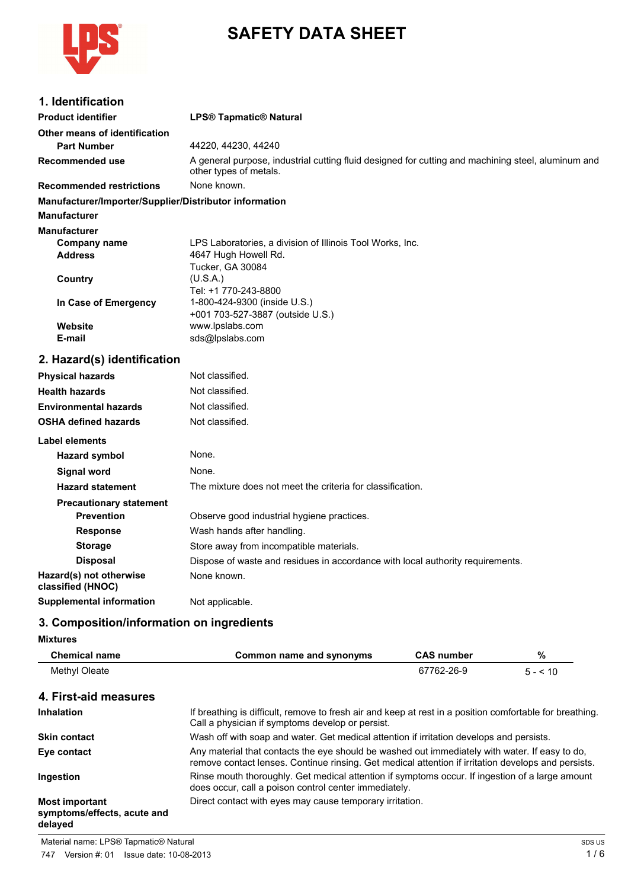

# **SAFETY DATA SHEET**

| 1. Identification                                                             |                                                                                                                              |
|-------------------------------------------------------------------------------|------------------------------------------------------------------------------------------------------------------------------|
| <b>Product identifier</b>                                                     | <b>LPS® Tapmatic® Natural</b>                                                                                                |
| Other means of identification                                                 |                                                                                                                              |
| <b>Part Number</b>                                                            | 44220, 44230, 44240                                                                                                          |
| Recommended use                                                               | A general purpose, industrial cutting fluid designed for cutting and machining steel, aluminum and<br>other types of metals. |
| <b>Recommended restrictions</b>                                               | None known.                                                                                                                  |
| Manufacturer/Importer/Supplier/Distributor information<br><b>Manufacturer</b> |                                                                                                                              |
| <b>Manufacturer</b>                                                           |                                                                                                                              |
| Company name<br><b>Address</b>                                                | LPS Laboratories, a division of Illinois Tool Works, Inc.<br>4647 Hugh Howell Rd.<br>Tucker, GA 30084                        |
| Country                                                                       | (U.S.A.)<br>Tel: +1 770-243-8800                                                                                             |
| In Case of Emergency                                                          | 1-800-424-9300 (inside U.S.)<br>+001 703-527-3887 (outside U.S.)                                                             |
| Website                                                                       | www.lpslabs.com                                                                                                              |
| E-mail                                                                        | sds@lpslabs.com                                                                                                              |
| 2. Hazard(s) identification                                                   |                                                                                                                              |
| <b>Physical hazards</b>                                                       | Not classified.                                                                                                              |
| <b>Health hazards</b>                                                         | Not classified.                                                                                                              |
| <b>Environmental hazards</b>                                                  | Not classified.                                                                                                              |
| <b>OSHA defined hazards</b>                                                   | Not classified.                                                                                                              |
| Label elements                                                                |                                                                                                                              |
| <b>Hazard symbol</b>                                                          | None.                                                                                                                        |
| <b>Signal word</b>                                                            | None.                                                                                                                        |
| <b>Hazard statement</b>                                                       | The mixture does not meet the criteria for classification.                                                                   |
| <b>Precautionary statement</b>                                                |                                                                                                                              |
| <b>Prevention</b>                                                             | Observe good industrial hygiene practices.                                                                                   |
| <b>Response</b>                                                               | Wash hands after handling.                                                                                                   |
| <b>Storage</b>                                                                | Store away from incompatible materials.                                                                                      |
| <b>Disposal</b>                                                               | Dispose of waste and residues in accordance with local authority requirements.                                               |
| Hazard(s) not otherwise<br>classified (HNOC)                                  | None known.                                                                                                                  |
| <b>Supplemental information</b>                                               | Not applicable.                                                                                                              |

# **3. Composition/information on ingredients**

| <b>Mixtures</b> |  |
|-----------------|--|
|-----------------|--|

| <b>Chemical name</b>                                            | Common name and synonyms                                                                                                                                                                              | <b>CAS number</b> | %        |
|-----------------------------------------------------------------|-------------------------------------------------------------------------------------------------------------------------------------------------------------------------------------------------------|-------------------|----------|
| Methyl Oleate                                                   |                                                                                                                                                                                                       | 67762-26-9        | $5 - 10$ |
| 4. First-aid measures                                           |                                                                                                                                                                                                       |                   |          |
| <b>Inhalation</b>                                               | If breathing is difficult, remove to fresh air and keep at rest in a position comfortable for breathing.<br>Call a physician if symptoms develop or persist.                                          |                   |          |
| <b>Skin contact</b>                                             | Wash off with soap and water. Get medical attention if irritation develops and persists.                                                                                                              |                   |          |
| Eye contact                                                     | Any material that contacts the eye should be washed out immediately with water. If easy to do,<br>remove contact lenses. Continue rinsing. Get medical attention if irritation develops and persists. |                   |          |
| Ingestion                                                       | Rinse mouth thoroughly. Get medical attention if symptoms occur. If ingestion of a large amount<br>does occur, call a poison control center immediately.                                              |                   |          |
| <b>Most important</b><br>symptoms/effects, acute and<br>delayed | Direct contact with eyes may cause temporary irritation.                                                                                                                                              |                   |          |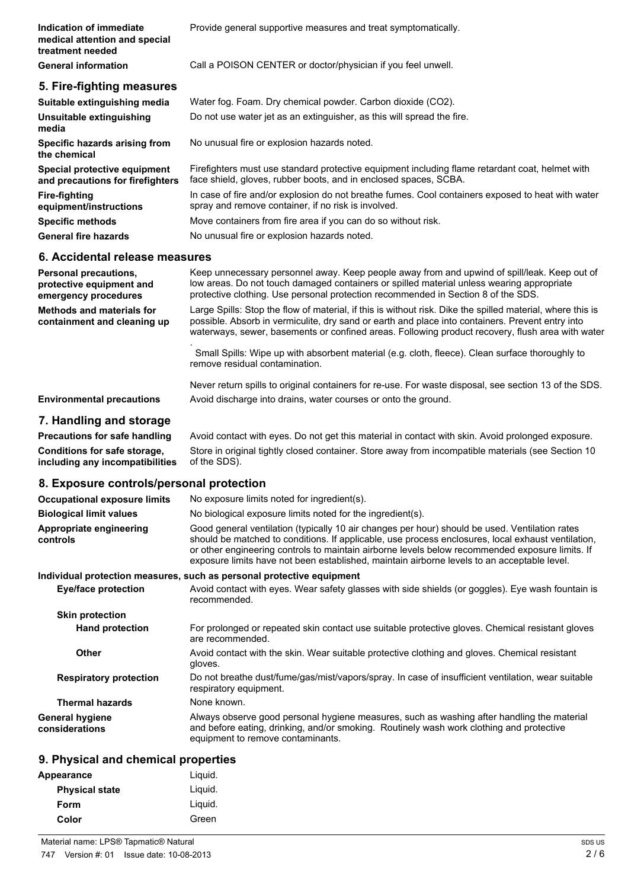| Indication of immediate<br>medical attention and special<br>treatment needed | Provide general supportive measures and treat symptomatically.                                                                                                                                                                                                                 |
|------------------------------------------------------------------------------|--------------------------------------------------------------------------------------------------------------------------------------------------------------------------------------------------------------------------------------------------------------------------------|
| <b>General information</b>                                                   | Call a POISON CENTER or doctor/physician if you feel unwell.                                                                                                                                                                                                                   |
| 5. Fire-fighting measures                                                    |                                                                                                                                                                                                                                                                                |
| Suitable extinguishing media                                                 | Water fog. Foam. Dry chemical powder. Carbon dioxide (CO2).                                                                                                                                                                                                                    |
| Unsuitable extinguishing<br>media                                            | Do not use water jet as an extinguisher, as this will spread the fire.                                                                                                                                                                                                         |
| Specific hazards arising from<br>the chemical                                | No unusual fire or explosion hazards noted.                                                                                                                                                                                                                                    |
| Special protective equipment<br>and precautions for firefighters             | Firefighters must use standard protective equipment including flame retardant coat, helmet with<br>face shield, gloves, rubber boots, and in enclosed spaces, SCBA.                                                                                                            |
| <b>Fire-fighting</b><br>equipment/instructions                               | In case of fire and/or explosion do not breathe fumes. Cool containers exposed to heat with water<br>spray and remove container, if no risk is involved.                                                                                                                       |
| <b>Specific methods</b>                                                      | Move containers from fire area if you can do so without risk.                                                                                                                                                                                                                  |
| <b>General fire hazards</b>                                                  | No unusual fire or explosion hazards noted.                                                                                                                                                                                                                                    |
| 6. Accidental release measures                                               |                                                                                                                                                                                                                                                                                |
| Personal precautions,<br>protective equipment and<br>emergency procedures    | Keep unnecessary personnel away. Keep people away from and upwind of spill/leak. Keep out of<br>low areas. Do not touch damaged containers or spilled material unless wearing appropriate<br>protective clothing. Use personal protection recommended in Section 8 of the SDS. |

**Methods and materials for containment and cleaning up** Large Spills: Stop the flow of material, if this is without risk. Dike the spilled material, where this is possible. Absorb in vermiculite, dry sand or earth and place into containers. Prevent entry into

waterways, sewer, basements or confined areas. Following product recovery, flush area with water .

Small Spills: Wipe up with absorbent material (e.g. cloth, fleece). Clean surface thoroughly to remove residual contamination.

Never return spills to original containers for re-use. For waste disposal, see section 13 of the SDS. **Environmental precautions** Avoid discharge into drains, water courses or onto the ground.

### **7. Handling and storage**

**Precautions for safe handling** Avoid contact with eyes. Do not get this material in contact with skin. Avoid prolonged exposure. **Conditions for safe storage, including any incompatibilities** Store in original tightly closed container. Store away from incompatible materials (see Section 10 of the SDS).

### **8. Exposure controls/personal protection**

| <b>Occupational exposure limits</b>      | No exposure limits noted for ingredient(s).                                                                                                                                                                                                                                                                                                                                                            |
|------------------------------------------|--------------------------------------------------------------------------------------------------------------------------------------------------------------------------------------------------------------------------------------------------------------------------------------------------------------------------------------------------------------------------------------------------------|
| <b>Biological limit values</b>           | No biological exposure limits noted for the ingredient(s).                                                                                                                                                                                                                                                                                                                                             |
| Appropriate engineering<br>controls      | Good general ventilation (typically 10 air changes per hour) should be used. Ventilation rates<br>should be matched to conditions. If applicable, use process enclosures, local exhaust ventilation,<br>or other engineering controls to maintain airborne levels below recommended exposure limits. If<br>exposure limits have not been established, maintain airborne levels to an acceptable level. |
|                                          | Individual protection measures, such as personal protective equipment                                                                                                                                                                                                                                                                                                                                  |
| Eye/face protection                      | Avoid contact with eyes. Wear safety glasses with side shields (or goggles). Eye wash fountain is<br>recommended.                                                                                                                                                                                                                                                                                      |
| <b>Skin protection</b>                   |                                                                                                                                                                                                                                                                                                                                                                                                        |
| <b>Hand protection</b>                   | For prolonged or repeated skin contact use suitable protective gloves. Chemical resistant gloves<br>are recommended.                                                                                                                                                                                                                                                                                   |
| Other                                    | Avoid contact with the skin. Wear suitable protective clothing and gloves. Chemical resistant<br>gloves.                                                                                                                                                                                                                                                                                               |
| <b>Respiratory protection</b>            | Do not breathe dust/fume/gas/mist/vapors/spray. In case of insufficient ventilation, wear suitable<br>respiratory equipment.                                                                                                                                                                                                                                                                           |
| <b>Thermal hazards</b>                   | None known.                                                                                                                                                                                                                                                                                                                                                                                            |
| <b>General hygiene</b><br>considerations | Always observe good personal hygiene measures, such as washing after handling the material<br>and before eating, drinking, and/or smoking. Routinely wash work clothing and protective<br>equipment to remove contaminants.                                                                                                                                                                            |

### **9. Physical and chemical properties**

| Appearance            | Liquid. |
|-----------------------|---------|
| <b>Physical state</b> | Liguid. |
| Form                  | Liguid. |
| Color                 | Green   |
|                       |         |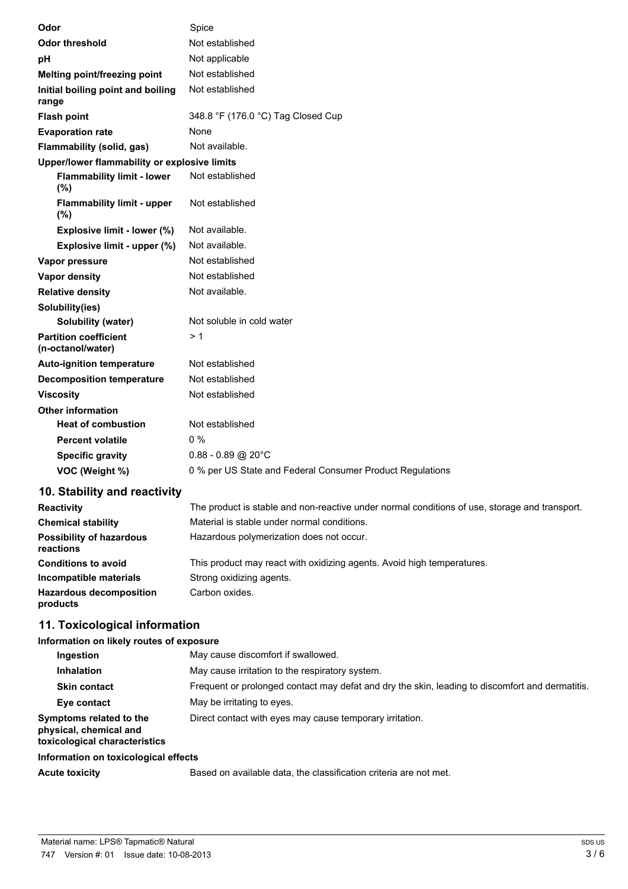| Odor                                              | Spice                                                     |
|---------------------------------------------------|-----------------------------------------------------------|
| <b>Odor threshold</b>                             | Not established                                           |
| рH                                                | Not applicable                                            |
| Melting point/freezing point                      | Not established                                           |
| Initial boiling point and boiling<br>range        | Not established                                           |
| <b>Flash point</b>                                | 348.8 °F (176.0 °C) Tag Closed Cup                        |
| <b>Evaporation rate</b>                           | None                                                      |
| Flammability (solid, gas)                         | Not available.                                            |
| Upper/lower flammability or explosive limits      |                                                           |
| <b>Flammability limit - lower</b><br>(%)          | Not established                                           |
| <b>Flammability limit - upper</b><br>(%)          | Not established                                           |
| Explosive limit - lower (%)                       | Not available.                                            |
| Explosive limit - upper (%)                       | Not available.                                            |
| Vapor pressure                                    | Not established                                           |
| <b>Vapor density</b>                              | Not established                                           |
| <b>Relative density</b>                           | Not available.                                            |
| Solubility(ies)                                   |                                                           |
| <b>Solubility (water)</b>                         | Not soluble in cold water                                 |
| <b>Partition coefficient</b><br>(n-octanol/water) | >1                                                        |
| <b>Auto-ignition temperature</b>                  | Not established                                           |
| <b>Decomposition temperature</b>                  | Not established                                           |
| <b>Viscosity</b>                                  | Not established                                           |
| <b>Other information</b>                          |                                                           |
| <b>Heat of combustion</b>                         | Not established                                           |
| <b>Percent volatile</b>                           | $0\%$                                                     |
| <b>Specific gravity</b>                           | $0.88 - 0.89$ @ 20°C                                      |
| VOC (Weight %)                                    | 0 % per US State and Federal Consumer Product Regulations |

### **10. Stability and reactivity**

| <b>Reactivity</b>                            | The product is stable and non-reactive under normal conditions of use, storage and transport. |
|----------------------------------------------|-----------------------------------------------------------------------------------------------|
| <b>Chemical stability</b>                    | Material is stable under normal conditions.                                                   |
| <b>Possibility of hazardous</b><br>reactions | Hazardous polymerization does not occur.                                                      |
| <b>Conditions to avoid</b>                   | This product may react with oxidizing agents. Avoid high temperatures.                        |
| Incompatible materials                       | Strong oxidizing agents.                                                                      |
| <b>Hazardous decomposition</b><br>products   | Carbon oxides.                                                                                |

# **11. Toxicological information**

### **Information on likely routes of exposure**

| Ingestion                                                                          | May cause discomfort if swallowed.                                                              |
|------------------------------------------------------------------------------------|-------------------------------------------------------------------------------------------------|
| <b>Inhalation</b>                                                                  | May cause irritation to the respiratory system.                                                 |
| <b>Skin contact</b>                                                                | Frequent or prolonged contact may defat and dry the skin, leading to discomfort and dermatitis. |
| Eye contact                                                                        | May be irritating to eyes.                                                                      |
| Symptoms related to the<br>physical, chemical and<br>toxicological characteristics | Direct contact with eyes may cause temporary irritation.                                        |
| Information on toxicological effects                                               |                                                                                                 |

Acute toxicity **Based on available data, the classification criteria are not met.**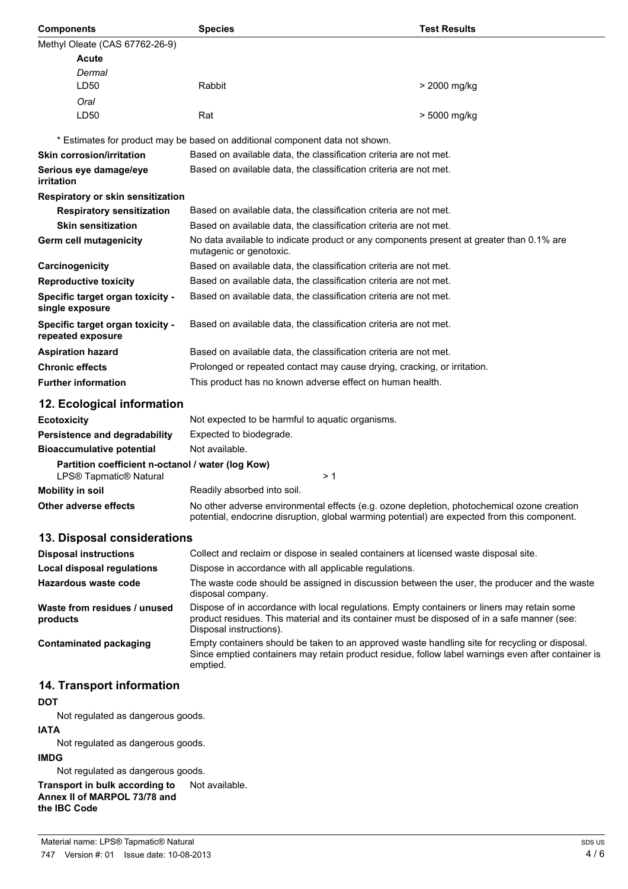| <b>Components</b>                                                           | <b>Species</b>                                                               | <b>Test Results</b>                                                                                                                                                                                  |
|-----------------------------------------------------------------------------|------------------------------------------------------------------------------|------------------------------------------------------------------------------------------------------------------------------------------------------------------------------------------------------|
| Methyl Oleate (CAS 67762-26-9)                                              |                                                                              |                                                                                                                                                                                                      |
| <b>Acute</b>                                                                |                                                                              |                                                                                                                                                                                                      |
| Dermal                                                                      |                                                                              |                                                                                                                                                                                                      |
| LD50                                                                        | Rabbit                                                                       | > 2000 mg/kg                                                                                                                                                                                         |
| Oral                                                                        |                                                                              |                                                                                                                                                                                                      |
| LD <sub>50</sub>                                                            | Rat                                                                          | > 5000 mg/kg                                                                                                                                                                                         |
|                                                                             | * Estimates for product may be based on additional component data not shown. |                                                                                                                                                                                                      |
| <b>Skin corrosion/irritation</b>                                            |                                                                              | Based on available data, the classification criteria are not met.                                                                                                                                    |
| Serious eye damage/eye                                                      |                                                                              | Based on available data, the classification criteria are not met.                                                                                                                                    |
| irritation                                                                  |                                                                              |                                                                                                                                                                                                      |
| Respiratory or skin sensitization                                           |                                                                              |                                                                                                                                                                                                      |
| <b>Respiratory sensitization</b>                                            |                                                                              | Based on available data, the classification criteria are not met.                                                                                                                                    |
| <b>Skin sensitization</b>                                                   |                                                                              | Based on available data, the classification criteria are not met.                                                                                                                                    |
| Germ cell mutagenicity                                                      | mutagenic or genotoxic.                                                      | No data available to indicate product or any components present at greater than 0.1% are                                                                                                             |
| Carcinogenicity                                                             |                                                                              | Based on available data, the classification criteria are not met.                                                                                                                                    |
| <b>Reproductive toxicity</b>                                                |                                                                              | Based on available data, the classification criteria are not met.                                                                                                                                    |
| Specific target organ toxicity -<br>single exposure                         |                                                                              | Based on available data, the classification criteria are not met.                                                                                                                                    |
| Specific target organ toxicity -<br>repeated exposure                       |                                                                              | Based on available data, the classification criteria are not met.                                                                                                                                    |
| <b>Aspiration hazard</b>                                                    |                                                                              | Based on available data, the classification criteria are not met.                                                                                                                                    |
| <b>Chronic effects</b>                                                      |                                                                              | Prolonged or repeated contact may cause drying, cracking, or irritation.                                                                                                                             |
| <b>Further information</b>                                                  | This product has no known adverse effect on human health.                    |                                                                                                                                                                                                      |
| 12. Ecological information                                                  |                                                                              |                                                                                                                                                                                                      |
| <b>Ecotoxicity</b>                                                          | Not expected to be harmful to aquatic organisms.                             |                                                                                                                                                                                                      |
| Persistence and degradability                                               | Expected to biodegrade.                                                      |                                                                                                                                                                                                      |
| <b>Bioaccumulative potential</b>                                            | Not available.                                                               |                                                                                                                                                                                                      |
| Partition coefficient n-octanol / water (log Kow)<br>LPS® Tapmatic® Natural |                                                                              | > 1                                                                                                                                                                                                  |
| <b>Mobility in soil</b>                                                     | Readily absorbed into soil.                                                  |                                                                                                                                                                                                      |
| Other adverse effects                                                       |                                                                              | No other adverse environmental effects (e.g. ozone depletion, photochemical ozone creation<br>potential, endocrine disruption, global warming potential) are expected from this component.           |
| 13. Disposal considerations                                                 |                                                                              |                                                                                                                                                                                                      |
| <b>Disposal instructions</b>                                                |                                                                              | Collect and reclaim or dispose in sealed containers at licensed waste disposal site.                                                                                                                 |
| <b>Local disposal regulations</b>                                           | Dispose in accordance with all applicable regulations.                       |                                                                                                                                                                                                      |
| Hazardous waste code                                                        | disposal company.                                                            | The waste code should be assigned in discussion between the user, the producer and the waste                                                                                                         |
| Waste from residues / unused<br>products                                    | Disposal instructions).                                                      | Dispose of in accordance with local regulations. Empty containers or liners may retain some<br>product residues. This material and its container must be disposed of in a safe manner (see:          |
| <b>Contaminated packaging</b>                                               | emptied.                                                                     | Empty containers should be taken to an approved waste handling site for recycling or disposal.<br>Since emptied containers may retain product residue, follow label warnings even after container is |
| 14. Transport information                                                   |                                                                              |                                                                                                                                                                                                      |

### **DOT**

Not regulated as dangerous goods.

### **IATA**

Not regulated as dangerous goods.

### **IMDG**

Not regulated as dangerous goods.

**Transport in bulk according to** Not available. **Annex II of MARPOL 73/78 and the IBC Code**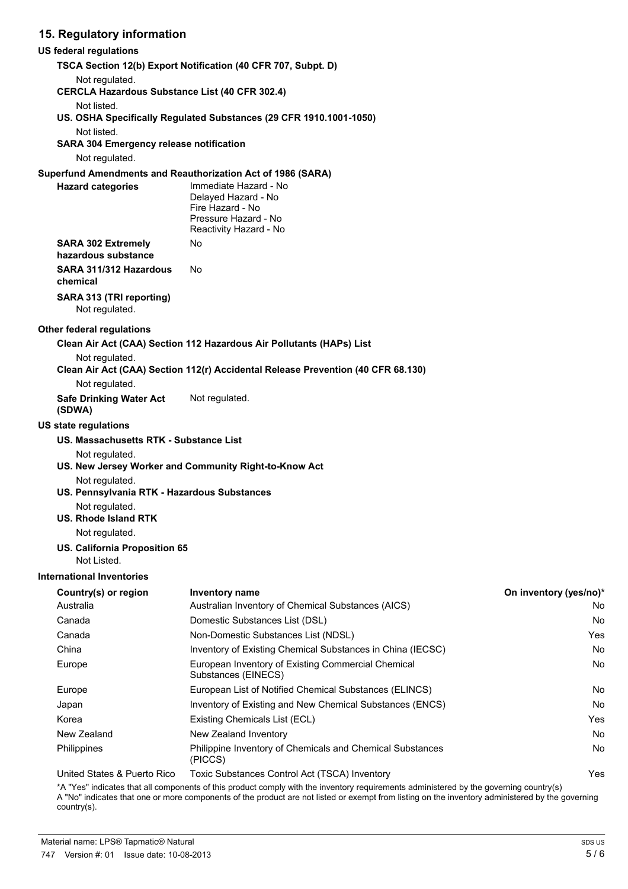### **15. Regulatory information**

### **US federal regulations**

| us iederai regulations                                                  |                                                                                                                    |                        |
|-------------------------------------------------------------------------|--------------------------------------------------------------------------------------------------------------------|------------------------|
|                                                                         | TSCA Section 12(b) Export Notification (40 CFR 707, Subpt. D)                                                      |                        |
| Not regulated.<br><b>CERCLA Hazardous Substance List (40 CFR 302.4)</b> |                                                                                                                    |                        |
| Not listed.                                                             |                                                                                                                    |                        |
|                                                                         | US. OSHA Specifically Regulated Substances (29 CFR 1910.1001-1050)                                                 |                        |
| Not listed.                                                             |                                                                                                                    |                        |
| <b>SARA 304 Emergency release notification</b>                          |                                                                                                                    |                        |
| Not regulated.                                                          |                                                                                                                    |                        |
|                                                                         | Superfund Amendments and Reauthorization Act of 1986 (SARA)                                                        |                        |
| <b>Hazard categories</b>                                                | Immediate Hazard - No<br>Delayed Hazard - No<br>Fire Hazard - No<br>Pressure Hazard - No<br>Reactivity Hazard - No |                        |
| <b>SARA 302 Extremely</b><br>hazardous substance                        | No                                                                                                                 |                        |
| SARA 311/312 Hazardous<br>chemical                                      | No                                                                                                                 |                        |
| SARA 313 (TRI reporting)<br>Not regulated.                              |                                                                                                                    |                        |
| Other federal regulations                                               |                                                                                                                    |                        |
|                                                                         | Clean Air Act (CAA) Section 112 Hazardous Air Pollutants (HAPs) List                                               |                        |
| Not regulated.                                                          |                                                                                                                    |                        |
| Not regulated.                                                          | Clean Air Act (CAA) Section 112(r) Accidental Release Prevention (40 CFR 68.130)                                   |                        |
| <b>Safe Drinking Water Act</b><br>(SDWA)                                | Not regulated.                                                                                                     |                        |
| US state regulations                                                    |                                                                                                                    |                        |
| US. Massachusetts RTK - Substance List                                  |                                                                                                                    |                        |
| Not regulated.                                                          | US. New Jersey Worker and Community Right-to-Know Act                                                              |                        |
| Not regulated.<br>US. Pennsylvania RTK - Hazardous Substances           |                                                                                                                    |                        |
| Not regulated.<br>US. Rhode Island RTK                                  |                                                                                                                    |                        |
| Not regulated.                                                          |                                                                                                                    |                        |
| US. California Proposition 65<br>Not Listed.                            |                                                                                                                    |                        |
| <b>International Inventories</b>                                        |                                                                                                                    |                        |
| Country(s) or region                                                    | Inventory name                                                                                                     | On inventory (yes/no)* |
| Australia                                                               | Australian Inventory of Chemical Substances (AICS)                                                                 | No                     |
| Canada                                                                  | Domestic Substances List (DSL)                                                                                     | No                     |
| Canada                                                                  | Non-Domestic Substances List (NDSL)                                                                                | Yes                    |
| China                                                                   | Inventory of Existing Chemical Substances in China (IECSC)                                                         | <b>No</b>              |
| Europe                                                                  | European Inventory of Existing Commercial Chemical<br>Substances (EINECS)                                          | No                     |
| Europe                                                                  | European List of Notified Chemical Substances (ELINCS)                                                             | No                     |
| Japan                                                                   | Inventory of Existing and New Chemical Substances (ENCS)                                                           | No                     |
| Korea                                                                   | Existing Chemicals List (ECL)                                                                                      | Yes                    |
| New Zealand                                                             | New Zealand Inventory                                                                                              | No                     |

United States & Puerto Rico Toxic Substances Control Act (TSCA) Inventory The Matter States & Puerto Rico

(PICCS)

\*A "Yes" indicates that all components of this product comply with the inventory requirements administered by the governing country(s) A "No" indicates that one or more components of the product are not listed or exempt from listing on the inventory administered by the governing country(s).

Philippines **Philippine Inventory of Chemicals and Chemical Substances** No **No**